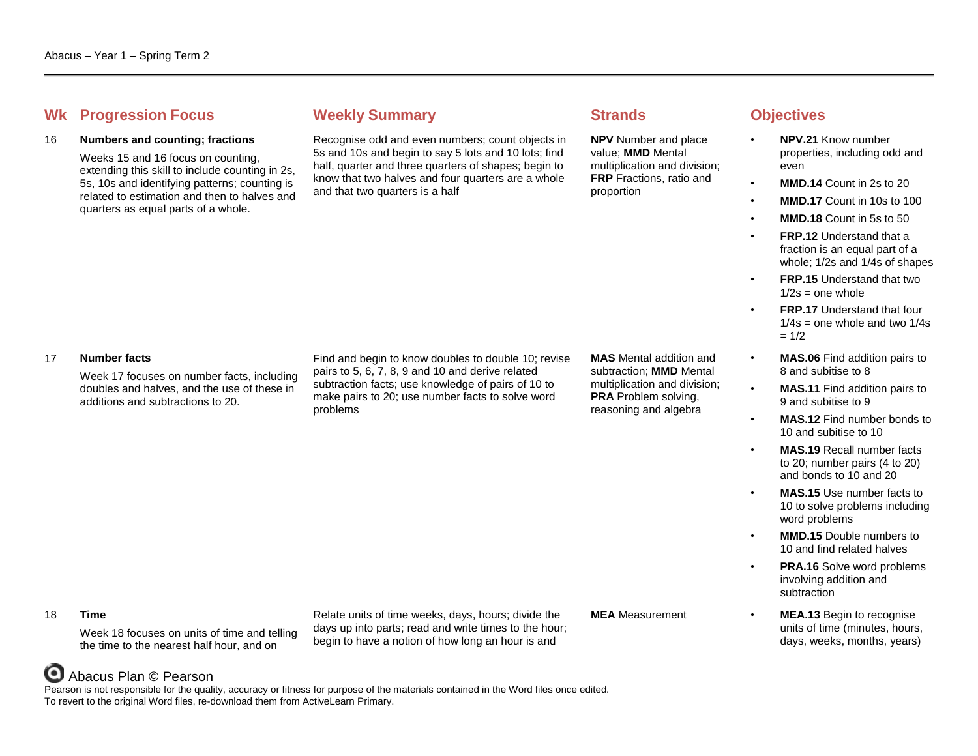## **Whene Progression Focus Weekly Summary <b>Strands Strands Objectives**

## 16 **Numbers and counting; fractions**

Weeks 15 and 16 focus on counting, extending this skill to include counting in 2s, 5s, 10s and identifying patterns; counting is related to estimation and then to halves and quarters as equal parts of a whole.

Recognise odd and even numbers; count objects in 5s and 10s and begin to say 5 lots and 10 lots; find half, quarter and three quarters of shapes; begin to know that two halves and four quarters are a whole and that two quarters is a half

**NPV** Number and place value; **MMD** Mental multiplication and division; **FRP** Fractions, ratio and proportion

- **NPV.21** Know number properties, including odd and even
- **MMD.14** Count in 2s to 20
- **MMD.17** Count in 10s to 100
- **MMD.18** Count in 5s to 50
- **FRP.12** Understand that a fraction is an equal part of a whole; 1/2s and 1/4s of shapes
- **FRP.15** Understand that two  $1/2s =$  one whole
- **FRP.17** Understand that four  $1/4s$  = one whole and two  $1/4s$  $= 1/2$
- **MAS.06** Find addition pairs to 8 and subitise to 8
- **MAS.11** Find addition pairs to 9 and subitise to 9
	- **MAS.12** Find number bonds to 10 and subitise to 10
- **MAS.19** Recall number facts to 20; number pairs (4 to 20) and bonds to 10 and 20
- **MAS.15** Use number facts to 10 to solve problems including word problems
- **MMD.15** Double numbers to 10 and find related halves
- **PRA.16** Solve word problems involving addition and subtraction
- **MEA** Measurement **MEA.13** Begin to recognise units of time (minutes, hours, days, weeks, months, years)

## 17 **Number facts**

Week 17 focuses on number facts, including doubles and halves, and the use of these in additions and subtractions to 20.

Find and begin to know doubles to double 10; revise pairs to 5, 6, 7, 8, 9 and 10 and derive related subtraction facts; use knowledge of pairs of 10 to make pairs to 20; use number facts to solve word problems

**MAS** Mental addition and subtraction; **MMD** Mental multiplication and division; **PRA** Problem solving, reasoning and algebra

### 18 **Time**

Week 18 focuses on units of time and telling the time to the nearest half hour, and on

Relate units of time weeks, days, hours; divide the days up into parts; read and write times to the hour; begin to have a notion of how long an hour is and

# Abacus Plan © Pearson

Pearson is not responsible for the quality, accuracy or fitness for purpose of the materials contained in the Word files once edited. To revert to the original Word files, re-download them from ActiveLearn Primary.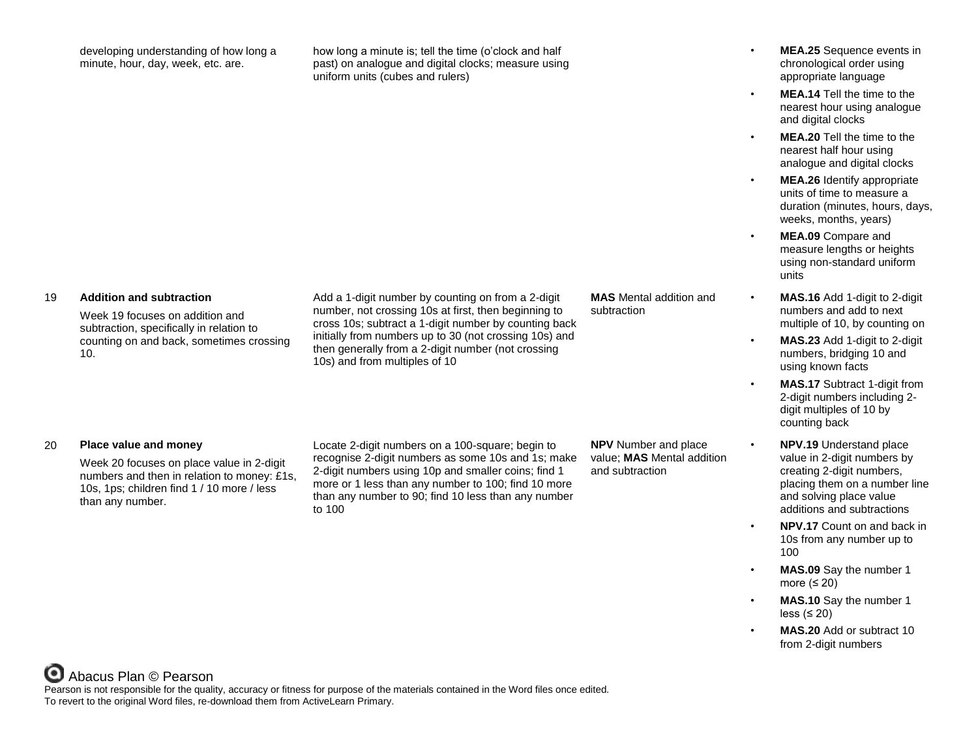developing understanding of how long a minute, hour, day, week, etc. are.

how long a minute is; tell the time (o'clock and half past) on analogue and digital clocks; measure using uniform units (cubes and rulers)

19 **Addition and subtraction**

Week 19 focuses on addition and subtraction, specifically in relation to counting on and back, sometimes crossing 10.

Add a 1-digit number by counting on from a 2-digit number, not crossing 10s at first, then beginning to cross 10s; subtract a 1-digit number by counting back initially from numbers up to 30 (not crossing 10s) and then generally from a 2-digit number (not crossing 10s) and from multiples of 10

**MAS** Mental addition and subtraction

- **MEA.25** Sequence events in chronological order using appropriate language
- **MEA.14** Tell the time to the nearest hour using analogue and digital clocks
- **MEA.20** Tell the time to the nearest half hour using analogue and digital clocks
- **MEA.26** Identify appropriate units of time to measure a duration (minutes, hours, days, weeks, months, years)
- **MEA.09** Compare and measure lengths or heights using non-standard uniform units
- **MAS.16** Add 1-digit to 2-digit numbers and add to next multiple of 10, by counting on
- **MAS.23** Add 1-digit to 2-digit numbers, bridging 10 and using known facts
- **MAS.17** Subtract 1-digit from 2-digit numbers including 2 digit multiples of 10 by counting back
- **NPV.19** Understand place value in 2-digit numbers by creating 2-digit numbers, placing them on a number line and solving place value additions and subtractions
- **NPV.17** Count on and back in 10s from any number up to 100
- **MAS.09** Say the number 1 more  $(≤ 20)$
- **MAS.10** Say the number 1 less (≤ 20)
- **MAS.20** Add or subtract 10 from 2-digit numbers

## 20 **Place value and money**

Week 20 focuses on place value in 2-digit numbers and then in relation to money: £1s, 10s, 1ps; children find 1 / 10 more / less than any number.

Locate 2-digit numbers on a 100-square; begin to recognise 2-digit numbers as some 10s and 1s; make 2-digit numbers using 10p and smaller coins; find 1 more or 1 less than any number to 100; find 10 more than any number to 90; find 10 less than any number to 100

**NPV** Number and place value; **MAS** Mental addition and subtraction

Abacus Plan © Pearson

Pearson is not responsible for the quality, accuracy or fitness for purpose of the materials contained in the Word files once edited. To revert to the original Word files, re-download them from ActiveLearn Primary.